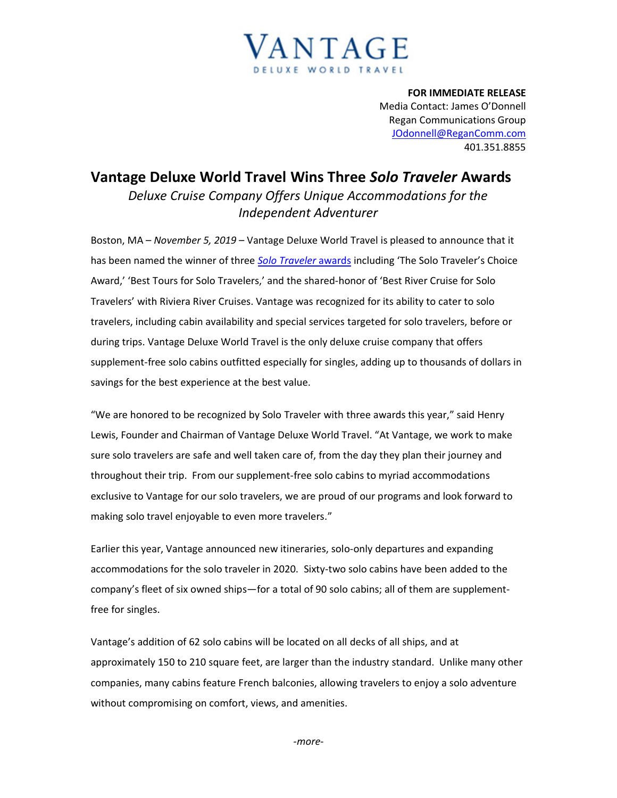

**FOR IMMEDIATE RELEASE** Media Contact: James O'Donnell Regan Communications Group [JOdonnell@ReganComm.com](mailto:JOdonnell@ReganComm.com) 401.351.8855

## **Vantage Deluxe World Travel Wins Three** *Solo Traveler* **Awards** *Deluxe Cruise Company Offers Unique Accommodations for the Independent Adventurer*

Boston, MA – *November 5, 2019* – Vantage Deluxe World Travel is pleased to announce that it has been named the winner of three *[Solo Traveler](https://solotravelerworld.com/winners-solo-travel-awards/)* awards including 'The Solo Traveler's Choice Award,' 'Best Tours for Solo Travelers,' and the shared-honor of 'Best River Cruise for Solo Travelers' with Riviera River Cruises. Vantage was recognized for its ability to cater to solo travelers, including cabin availability and special services targeted for solo travelers, before or during trips. Vantage Deluxe World Travel is the only deluxe cruise company that offers supplement-free solo cabins outfitted especially for singles, adding up to thousands of dollars in savings for the best experience at the best value.

"We are honored to be recognized by Solo Traveler with three awards this year," said Henry Lewis, Founder and Chairman of Vantage Deluxe World Travel. "At Vantage, we work to make sure solo travelers are safe and well taken care of, from the day they plan their journey and throughout their trip. From our supplement-free solo cabins to myriad accommodations exclusive to Vantage for our solo travelers, we are proud of our programs and look forward to making solo travel enjoyable to even more travelers."

Earlier this year, Vantage announced new itineraries, solo-only departures and expanding accommodations for the solo traveler in 2020. Sixty-two solo cabins have been added to the company's fleet of six owned ships—for a total of 90 solo cabins; all of them are supplementfree for singles.

Vantage's addition of 62 solo cabins will be located on all decks of all ships, and at approximately 150 to 210 square feet, are larger than the industry standard. Unlike many other companies, many cabins feature French balconies, allowing travelers to enjoy a solo adventure without compromising on comfort, views, and amenities.